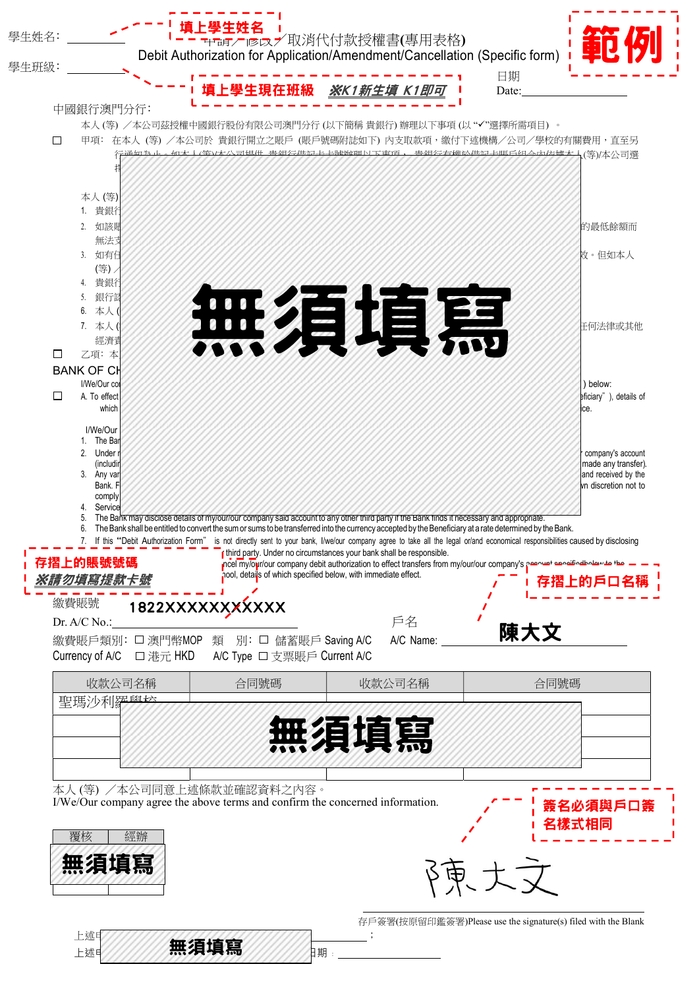